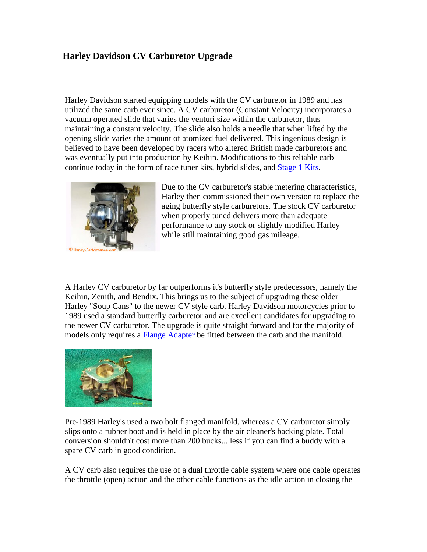## **Harley Davidson CV Carburetor Upgrade**

Harley Davidson started equipping models with the CV carburetor in 1989 and has utilized the same carb ever since. A CV carburetor (Constant Velocity) incorporates a vacuum operated slide that varies the venturi size within the carburetor, thus maintaining a constant velocity. The slide also holds a needle that when lifted by the opening slide varies the amount of atomized fuel delivered. This ingenious design is believed to have been developed by racers who altered British made carburetors and was eventually put into production by Keihin. Modifications to this reliable carb continue today in the form of race tuner kits, hybrid slides, and Stage 1 Kits.



Due to the CV carburetor's stable metering characteristics, Harley then commissioned their own version to replace the aging butterfly style carburetors. The stock CV carburetor when properly tuned delivers more than adequate performance to any stock or slightly modified Harley while still maintaining good gas mileage.

A Harley CV carburetor by far outperforms it's butterfly style predecessors, namely the Keihin, Zenith, and Bendix. This brings us to the subject of upgrading these older Harley "Soup Cans" to the newer CV style carb. Harley Davidson motorcycles prior to 1989 used a standard butterfly carburetor and are excellent candidates for upgrading to the newer CV carburetor. The upgrade is quite straight forward and for the majority of models only requires a Flange Adapter be fitted between the carb and the manifold.



Pre-1989 Harley's used a two bolt flanged manifold, whereas a CV carburetor simply slips onto a rubber boot and is held in place by the air cleaner's backing plate. Total conversion shouldn't cost more than 200 bucks... less if you can find a buddy with a spare CV carb in good condition.

A CV carb also requires the use of a dual throttle cable system where one cable operates the throttle (open) action and the other cable functions as the idle action in closing the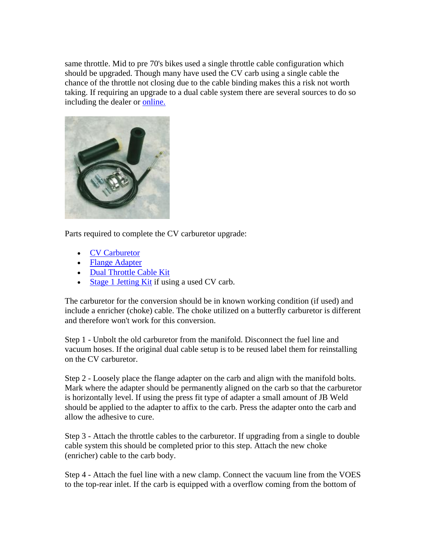same throttle. Mid to pre 70's bikes used a single throttle cable configuration which should be upgraded. Though many have used the CV carb using a single cable the chance of the throttle not closing due to the cable binding makes this a risk not worth taking. If requiring an upgrade to a dual cable system there are several sources to do so including the dealer or online.



Parts required to complete the CV carburetor upgrade:

- CV Carburetor
- Flange Adapter
- Dual Throttle Cable Kit
- Stage 1 Jetting Kit if using a used CV carb.

The carburetor for the conversion should be in known working condition (if used) and include a enricher (choke) cable. The choke utilized on a butterfly carburetor is different and therefore won't work for this conversion.

Step 1 - Unbolt the old carburetor from the manifold. Disconnect the fuel line and vacuum hoses. If the original dual cable setup is to be reused label them for reinstalling on the CV carburetor.

Step 2 - Loosely place the flange adapter on the carb and align with the manifold bolts. Mark where the adapter should be permanently aligned on the carb so that the carburetor is horizontally level. If using the press fit type of adapter a small amount of JB Weld should be applied to the adapter to affix to the carb. Press the adapter onto the carb and allow the adhesive to cure.

Step 3 - Attach the throttle cables to the carburetor. If upgrading from a single to double cable system this should be completed prior to this step. Attach the new choke (enricher) cable to the carb body.

Step 4 - Attach the fuel line with a new clamp. Connect the vacuum line from the VOES to the top-rear inlet. If the carb is equipped with a overflow coming from the bottom of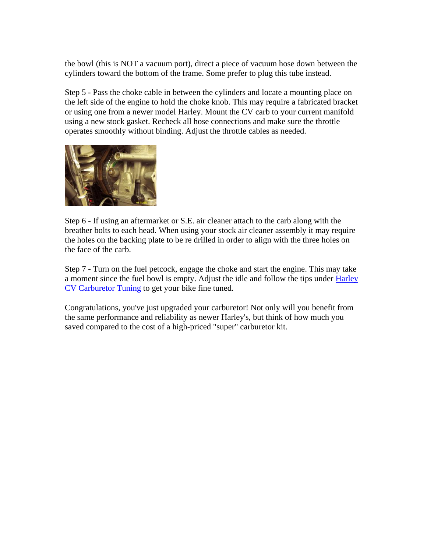the bowl (this is NOT a vacuum port), direct a piece of vacuum hose down between the cylinders toward the bottom of the frame. Some prefer to plug this tube instead.

Step 5 - Pass the choke cable in between the cylinders and locate a mounting place on the left side of the engine to hold the choke knob. This may require a fabricated bracket or using one from a newer model Harley. Mount the CV carb to your current manifold using a new stock gasket. Recheck all hose connections and make sure the throttle operates smoothly without binding. Adjust the throttle cables as needed.



Step 6 - If using an aftermarket or S.E. air cleaner attach to the carb along with the breather bolts to each head. When using your stock air cleaner assembly it may require the holes on the backing plate to be re drilled in order to align with the three holes on the face of the carb.

Step 7 - Turn on the fuel petcock, engage the choke and start the engine. This may take a moment since the fuel bowl is empty. Adjust the idle and follow the tips under Harley CV Carburetor Tuning to get your bike fine tuned.

Congratulations, you've just upgraded your carburetor! Not only will you benefit from the same performance and reliability as newer Harley's, but think of how much you saved compared to the cost of a high-priced "super" carburetor kit.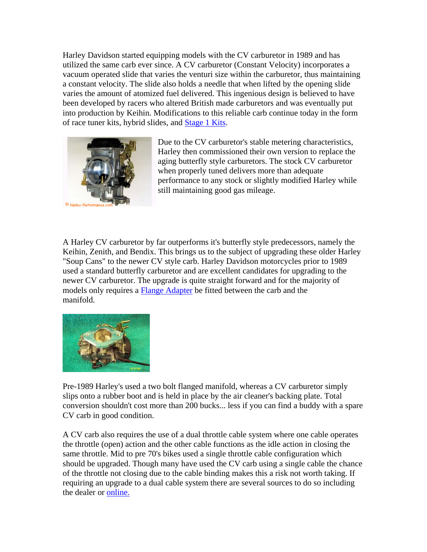Harley Davidson started equipping models with the CV carburetor in 1989 and has utilized the same carb ever since. A CV carburetor (Constant Velocity) incorporates a vacuum operated slide that varies the venturi size within the carburetor, thus maintaining a constant velocity. The slide also holds a needle that when lifted by the opening slide varies the amount of atomized fuel delivered. This ingenious design is believed to have been developed by racers who altered British made carburetors and was eventually put into production by Keihin. Modifications to this reliable carb continue today in the form of race tuner kits, hybrid slides, and Stage 1 Kits.



Due to the CV carburetor's stable metering characteristics, Harley then commissioned their own version to replace the aging butterfly style carburetors. The stock CV carburetor when properly tuned delivers more than adequate performance to any stock or slightly modified Harley while still maintaining good gas mileage.

A Harley CV carburetor by far outperforms it's butterfly style predecessors, namely the Keihin, Zenith, and Bendix. This brings us to the subject of upgrading these older Harley "Soup Cans" to the newer CV style carb. Harley Davidson motorcycles prior to 1989 used a standard butterfly carburetor and are excellent candidates for upgrading to the newer CV carburetor. The upgrade is quite straight forward and for the majority of models only requires a Flange Adapter be fitted between the carb and the manifold.



Pre-1989 Harley's used a two bolt flanged manifold, whereas a CV carburetor simply slips onto a rubber boot and is held in place by the air cleaner's backing plate. Total conversion shouldn't cost more than 200 bucks... less if you can find a buddy with a spare CV carb in good condition.

A CV carb also requires the use of a dual throttle cable system where one cable operates the throttle (open) action and the other cable functions as the idle action in closing the same throttle. Mid to pre 70's bikes used a single throttle cable configuration which should be upgraded. Though many have used the CV carb using a single cable the chance of the throttle not closing due to the cable binding makes this a risk not worth taking. If requiring an upgrade to a dual cable system there are several sources to do so including the dealer or online.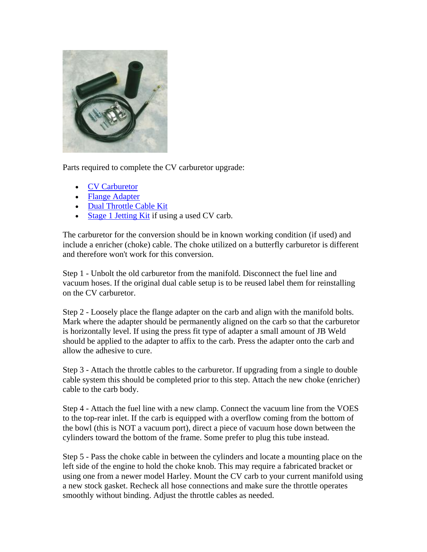

Parts required to complete the CV carburetor upgrade:

- CV Carburetor
- Flange Adapter
- Dual Throttle Cable Kit
- Stage 1 Jetting Kit if using a used CV carb.

The carburetor for the conversion should be in known working condition (if used) and include a enricher (choke) cable. The choke utilized on a butterfly carburetor is different and therefore won't work for this conversion.

Step 1 - Unbolt the old carburetor from the manifold. Disconnect the fuel line and vacuum hoses. If the original dual cable setup is to be reused label them for reinstalling on the CV carburetor.

Step 2 - Loosely place the flange adapter on the carb and align with the manifold bolts. Mark where the adapter should be permanently aligned on the carb so that the carburetor is horizontally level. If using the press fit type of adapter a small amount of JB Weld should be applied to the adapter to affix to the carb. Press the adapter onto the carb and allow the adhesive to cure.

Step 3 - Attach the throttle cables to the carburetor. If upgrading from a single to double cable system this should be completed prior to this step. Attach the new choke (enricher) cable to the carb body.

Step 4 - Attach the fuel line with a new clamp. Connect the vacuum line from the VOES to the top-rear inlet. If the carb is equipped with a overflow coming from the bottom of the bowl (this is NOT a vacuum port), direct a piece of vacuum hose down between the cylinders toward the bottom of the frame. Some prefer to plug this tube instead.

Step 5 - Pass the choke cable in between the cylinders and locate a mounting place on the left side of the engine to hold the choke knob. This may require a fabricated bracket or using one from a newer model Harley. Mount the CV carb to your current manifold using a new stock gasket. Recheck all hose connections and make sure the throttle operates smoothly without binding. Adjust the throttle cables as needed.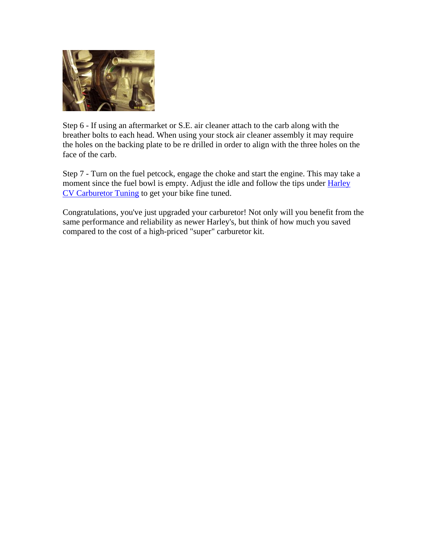

Step 6 - If using an aftermarket or S.E. air cleaner attach to the carb along with the breather bolts to each head. When using your stock air cleaner assembly it may require the holes on the backing plate to be re drilled in order to align with the three holes on the face of the carb.

Step 7 - Turn on the fuel petcock, engage the choke and start the engine. This may take a moment since the fuel bowl is empty. Adjust the idle and follow the tips under Harley CV Carburetor Tuning to get your bike fine tuned.

Congratulations, you've just upgraded your carburetor! Not only will you benefit from the same performance and reliability as newer Harley's, but think of how much you saved compared to the cost of a high-priced "super" carburetor kit.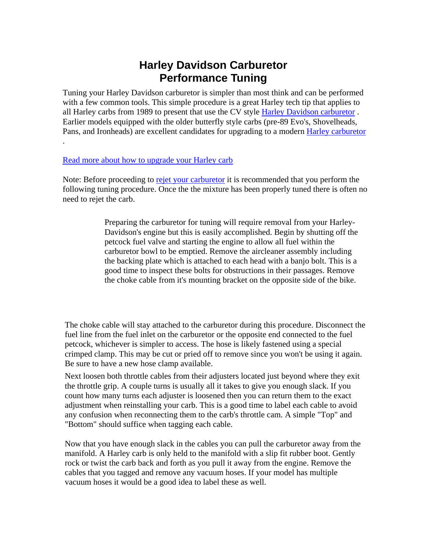# **Harley Davidson Carburetor Performance Tuning**

Tuning your Harley Davidson carburetor is simpler than most think and can be performed with a few common tools. This simple procedure is a great Harley tech tip that applies to all Harley carbs from 1989 to present that use the CV style Harley Davidson carburetor . Earlier models equipped with the older butterfly style carbs (pre-89 Evo's, Shovelheads, Pans, and Ironheads) are excellent candidates for upgrading to a modern Harley carburetor

#### Read more about how to upgrade your Harley carb

.

Note: Before proceeding to rejet your carburetor it is recommended that you perform the following tuning procedure. Once the the mixture has been properly tuned there is often no need to rejet the carb.

> Preparing the carburetor for tuning will require removal from your Harley-Davidson's engine but this is easily accomplished. Begin by shutting off the petcock fuel valve and starting the engine to allow all fuel within the carburetor bowl to be emptied. Remove the aircleaner assembly including the backing plate which is attached to each head with a banjo bolt. This is a good time to inspect these bolts for obstructions in their passages. Remove the choke cable from it's mounting bracket on the opposite side of the bike.

The choke cable will stay attached to the carburetor during this procedure. Disconnect the fuel line from the fuel inlet on the carburetor or the opposite end connected to the fuel petcock, whichever is simpler to access. The hose is likely fastened using a special crimped clamp. This may be cut or pried off to remove since you won't be using it again. Be sure to have a new hose clamp available.

Next loosen both throttle cables from their adjusters located just beyond where they exit the throttle grip. A couple turns is usually all it takes to give you enough slack. If you count how many turns each adjuster is loosened then you can return them to the exact adjustment when reinstalling your carb. This is a good time to label each cable to avoid any confusion when reconnecting them to the carb's throttle cam. A simple "Top" and "Bottom" should suffice when tagging each cable.

Now that you have enough slack in the cables you can pull the carburetor away from the manifold. A Harley carb is only held to the manifold with a slip fit rubber boot. Gently rock or twist the carb back and forth as you pull it away from the engine. Remove the cables that you tagged and remove any vacuum hoses. If your model has multiple vacuum hoses it would be a good idea to label these as well.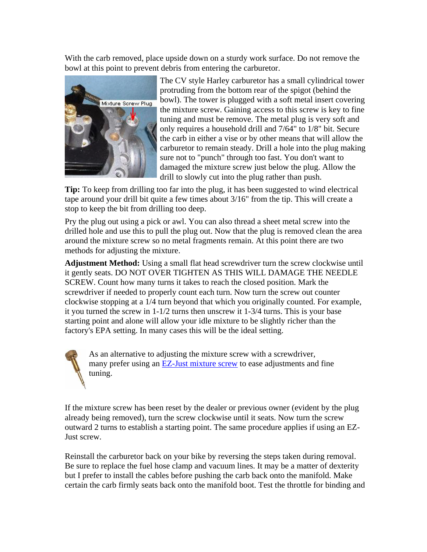With the carb removed, place upside down on a sturdy work surface. Do not remove the bowl at this point to prevent debris from entering the carburetor.



The CV style Harley carburetor has a small cylindrical tower protruding from the bottom rear of the spigot (behind the bowl). The tower is plugged with a soft metal insert covering the mixture screw. Gaining access to this screw is key to fine tuning and must be remove. The metal plug is very soft and only requires a household drill and 7/64" to 1/8" bit. Secure the carb in either a vise or by other means that will allow the carburetor to remain steady. Drill a hole into the plug making sure not to "punch" through too fast. You don't want to damaged the mixture screw just below the plug. Allow the drill to slowly cut into the plug rather than push.

**Tip:** To keep from drilling too far into the plug, it has been suggested to wind electrical tape around your drill bit quite a few times about 3/16" from the tip. This will create a stop to keep the bit from drilling too deep.

Pry the plug out using a pick or awl. You can also thread a sheet metal screw into the drilled hole and use this to pull the plug out. Now that the plug is removed clean the area around the mixture screw so no metal fragments remain. At this point there are two methods for adjusting the mixture.

**Adjustment Method:** Using a small flat head screwdriver turn the screw clockwise until it gently seats. DO NOT OVER TIGHTEN AS THIS WILL DAMAGE THE NEEDLE SCREW. Count how many turns it takes to reach the closed position. Mark the screwdriver if needed to properly count each turn. Now turn the screw out counter clockwise stopping at a 1/4 turn beyond that which you originally counted. For example, it you turned the screw in 1-1/2 turns then unscrew it 1-3/4 turns. This is your base starting point and alone will allow your idle mixture to be slightly richer than the factory's EPA setting. In many cases this will be the ideal setting.

As an alternative to adjusting the mixture screw with a screwdriver, many prefer using an **EZ-Just mixture screw** to ease adjustments and fine tuning.

If the mixture screw has been reset by the dealer or previous owner (evident by the plug already being removed), turn the screw clockwise until it seats. Now turn the screw outward 2 turns to establish a starting point. The same procedure applies if using an EZ-Just screw.

Reinstall the carburetor back on your bike by reversing the steps taken during removal. Be sure to replace the fuel hose clamp and vacuum lines. It may be a matter of dexterity but I prefer to install the cables before pushing the carb back onto the manifold. Make certain the carb firmly seats back onto the manifold boot. Test the throttle for binding and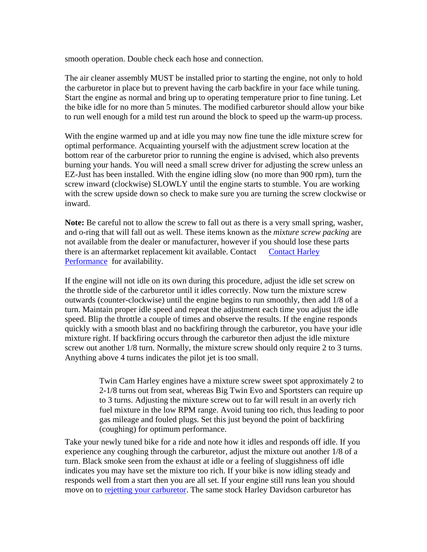smooth operation. Double check each hose and connection.

The air cleaner assembly MUST be installed prior to starting the engine, not only to hold the carburetor in place but to prevent having the carb backfire in your face while tuning. Start the engine as normal and bring up to operating temperature prior to fine tuning. Let the bike idle for no more than 5 minutes. The modified carburetor should allow your bike to run well enough for a mild test run around the block to speed up the warm-up process.

With the engine warmed up and at idle you may now fine tune the idle mixture screw for optimal performance. Acquainting yourself with the adjustment screw location at the bottom rear of the carburetor prior to running the engine is advised, which also prevents burning your hands. You will need a small screw driver for adjusting the screw unless an EZ-Just has been installed. With the engine idling slow (no more than 900 rpm), turn the screw inward (clockwise) SLOWLY until the engine starts to stumble. You are working with the screw upside down so check to make sure you are turning the screw clockwise or inward.

**Note:** Be careful not to allow the screw to fall out as there is a very small spring, washer, and o-ring that will fall out as well. These items known as the *mixture screw packing* are not available from the dealer or manufacturer, however if you should lose these parts there is an aftermarket replacement kit available. Contact Contact Harley Performance for availability.

If the engine will not idle on its own during this procedure, adjust the idle set screw on the throttle side of the carburetor until it idles correctly. Now turn the mixture screw outwards (counter-clockwise) until the engine begins to run smoothly, then add 1/8 of a turn. Maintain proper idle speed and repeat the adjustment each time you adjust the idle speed. Blip the throttle a couple of times and observe the results. If the engine responds quickly with a smooth blast and no backfiring through the carburetor, you have your idle mixture right. If backfiring occurs through the carburetor then adjust the idle mixture screw out another 1/8 turn. Normally, the mixture screw should only require 2 to 3 turns. Anything above 4 turns indicates the pilot jet is too small.

> Twin Cam Harley engines have a mixture screw sweet spot approximately 2 to 2-1/8 turns out from seat, whereas Big Twin Evo and Sportsters can require up to 3 turns. Adjusting the mixture screw out to far will result in an overly rich fuel mixture in the low RPM range. Avoid tuning too rich, thus leading to poor gas mileage and fouled plugs. Set this just beyond the point of backfiring (coughing) for optimum performance.

Take your newly tuned bike for a ride and note how it idles and responds off idle. If you experience any coughing through the carburetor, adjust the mixture out another 1/8 of a turn. Black smoke seen from the exhaust at idle or a feeling of sluggishness off idle indicates you may have set the mixture too rich. If your bike is now idling steady and responds well from a start then you are all set. If your engine still runs lean you should move on to rejetting your carburetor. The same stock Harley Davidson carburetor has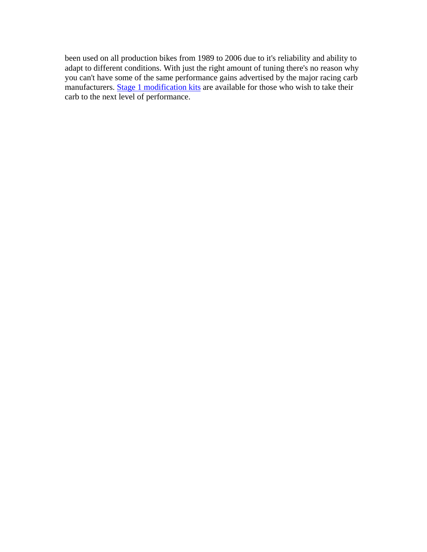been used on all production bikes from 1989 to 2006 due to it's reliability and ability to adapt to different conditions. With just the right amount of tuning there's no reason why you can't have some of the same performance gains advertised by the major racing carb manufacturers. **Stage 1 modification kits** are available for those who wish to take their carb to the next level of performance.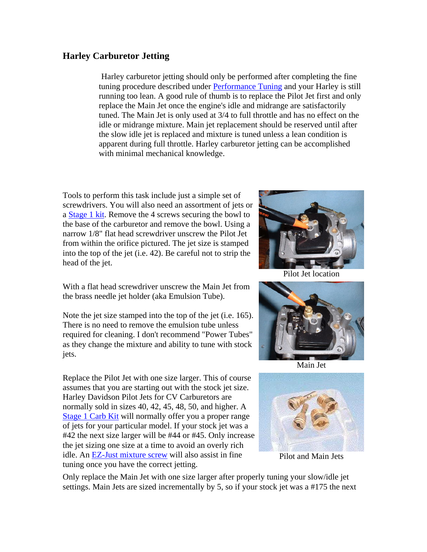### **Harley Carburetor Jetting**

 Harley carburetor jetting should only be performed after completing the fine tuning procedure described under Performance Tuning and your Harley is still running too lean. A good rule of thumb is to replace the Pilot Jet first and only replace the Main Jet once the engine's idle and midrange are satisfactorily tuned. The Main Jet is only used at 3/4 to full throttle and has no effect on the idle or midrange mixture. Main jet replacement should be reserved until after the slow idle jet is replaced and mixture is tuned unless a lean condition is apparent during full throttle. Harley carburetor jetting can be accomplished with minimal mechanical knowledge.

Tools to perform this task include just a simple set of screwdrivers. You will also need an assortment of jets or a Stage 1 kit. Remove the 4 screws securing the bowl to the base of the carburetor and remove the bowl. Using a narrow 1/8" flat head screwdriver unscrew the Pilot Jet from within the orifice pictured. The jet size is stamped into the top of the jet (i.e. 42). Be careful not to strip the head of the jet.



Note the jet size stamped into the top of the jet (i.e. 165). There is no need to remove the emulsion tube unless required for cleaning. I don't recommend "Power Tubes" as they change the mixture and ability to tune with stock jets.

Replace the Pilot Jet with one size larger. This of course assumes that you are starting out with the stock jet size. Harley Davidson Pilot Jets for CV Carburetors are normally sold in sizes 40, 42, 45, 48, 50, and higher. A Stage 1 Carb Kit will normally offer you a proper range of jets for your particular model. If your stock jet was a #42 the next size larger will be #44 or #45. Only increase the jet sizing one size at a time to avoid an overly rich idle. An EZ-Just mixture screw will also assist in fine tuning once you have the correct jetting.



Pilot Jet location



Main Jet



Pilot and Main Jets

Only replace the Main Jet with one size larger after properly tuning your slow/idle jet settings. Main Jets are sized incrementally by 5, so if your stock jet was a #175 the next